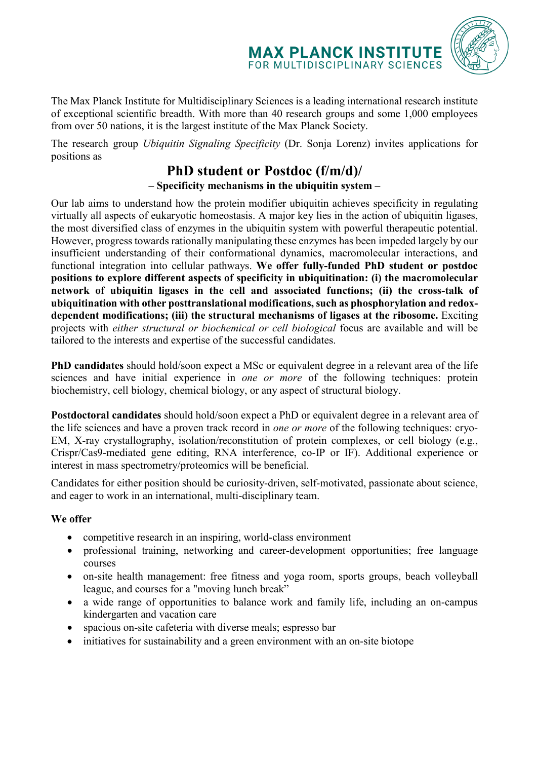

The Max Planck Institute for Multidisciplinary Sciences is a leading international research institute of exceptional scientific breadth. With more than 40 research groups and some 1,000 employees from over 50 nations, it is the largest institute of the Max Planck Society.

The research group *Ubiquitin Signaling Specificity* (Dr. Sonja Lorenz) invites applications for positions as

# **PhD student or Postdoc (f/m/d)/ – Specificity mechanisms in the ubiquitin system –**

Our lab aims to understand how the protein modifier ubiquitin achieves specificity in regulating virtually all aspects of eukaryotic homeostasis. A major key lies in the action of ubiquitin ligases, the most diversified class of enzymes in the ubiquitin system with powerful therapeutic potential. However, progress towards rationally manipulating these enzymes has been impeded largely by our insufficient understanding of their conformational dynamics, macromolecular interactions, and functional integration into cellular pathways. **We offer fully-funded PhD student or postdoc positions to explore different aspects of specificity in ubiquitination: (i) the macromolecular network of ubiquitin ligases in the cell and associated functions; (ii) the cross-talk of ubiquitination with other posttranslational modifications, such as phosphorylation and redoxdependent modifications; (iii) the structural mechanisms of ligases at the ribosome.** Exciting projects with *either structural or biochemical or cell biological* focus are available and will be tailored to the interests and expertise of the successful candidates.

**PhD candidates** should hold/soon expect a MSc or equivalent degree in a relevant area of the life sciences and have initial experience in *one or more* of the following techniques: protein biochemistry, cell biology, chemical biology, or any aspect of structural biology.

**Postdoctoral candidates** should hold/soon expect a PhD or equivalent degree in a relevant area of the life sciences and have a proven track record in *one or more* of the following techniques: cryo-EM, X-ray crystallography, isolation/reconstitution of protein complexes, or cell biology (e.g., Crispr/Cas9-mediated gene editing, RNA interference, co-IP or IF). Additional experience or interest in mass spectrometry/proteomics will be beneficial.

Candidates for either position should be curiosity-driven, self-motivated, passionate about science, and eager to work in an international, multi-disciplinary team.

### **We offer**

- competitive research in an inspiring, world-class environment
- professional training, networking and career-development opportunities; free language courses
- on-site health management: free fitness and yoga room, sports groups, beach volleyball league, and courses for a "moving lunch break"
- a wide range of opportunities to balance work and family life, including an on-campus kindergarten and vacation care
- spacious on-site cafeteria with diverse meals; espresso bar
- initiatives for sustainability and a green environment with an on-site biotope